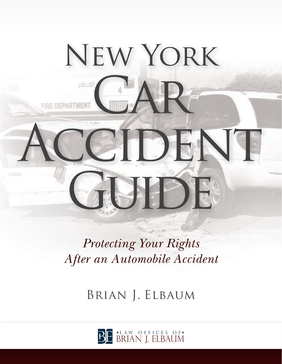

*Protecting Your Rights After an Automobile Accident*

Brian J. Elbaum

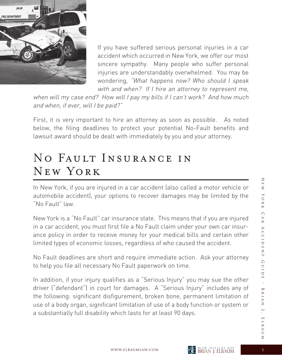

If you have suffered serious personal injuries in a car accident which occurred in New York, we offer our most sincere sympathy. Many people who suffer personal injuries are understandably overwhelmed. You may be wondering, "What happens now? Who should I speak with and when? If I hire an attorney to represent me,

when will my case end? How will I pay my bills if I can't work? And how much and when, if ever, will I be paid?"

First, it is very important to hire an attorney as soon as possible. As noted below, the filing deadlines to protect your potential No-Fault benefits and lawsuit award should be dealt with immediately by you and your attorney.

## No Fault Insurance in New York

In New York, if you are injured in a car accident (also called a motor vehicle or automobile accident), your options to recover damages may be limited by the "No Fault" law.

New York is a "No Fault" car insurance state. This means that if you are injured in a car accident, you must first file a No Fault claim under your own car insurance policy in order to receive money for your medical bills and certain other limited types of economic losses, regardless of who caused the accident.

No Fault deadlines are short and require immediate action. Ask your attorney to help you file all necessary No Fault paperwork on time.

In addition, if your injury qualifies as a "Serious Injury" you may sue the other driver ("defendant") in court for damages. A "Serious Injury" includes any of the following: significant disfigurement, broken bone, permanent limitation of use of a body organ, significant limitation of use of a body function or system or a substantially full disability which lasts for at least 90 days.

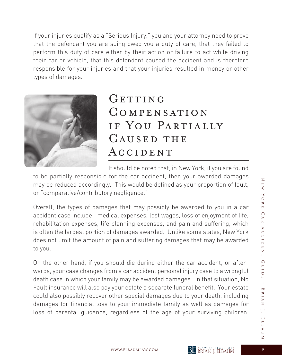If your injuries qualify as a "Serious Injury," you and your attorney need to prove that the defendant you are suing owed you a duty of care, that they failed to perform this duty of care either by their action or failure to act while driving their car or vehicle, that this defendant caused the accident and is therefore responsible for your injuries and that your injuries resulted in money or other types of damages.



# GETTING Compensation if You Partially CAUSED THE ACCIDENT

It should be noted that, in New York, if you are found

to be partially responsible for the car accident, then your awarded damages may be reduced accordingly. This would be defined as your proportion of fault, or "comparative/contributory negligence."

Overall, the types of damages that may possibly be awarded to you in a car accident case include: medical expenses, lost wages, loss of enjoyment of life, rehabilitation expenses, life planning expenses, and pain and suffering, which is often the largest portion of damages awarded. Unlike some states, New York does not limit the amount of pain and suffering damages that may be awarded to you.

On the other hand, if you should die during either the car accident, or afterwards, your case changes from a car accident personal injury case to a wrongful death case in which your family may be awarded damages. In that situation, No Fault insurance will also pay your estate a separate funeral benefit. Your estate could also possibly recover other special damages due to your death, including damages for financial loss to your immediate family as well as damages for loss of parental guidance, regardless of the age of your surviving children.

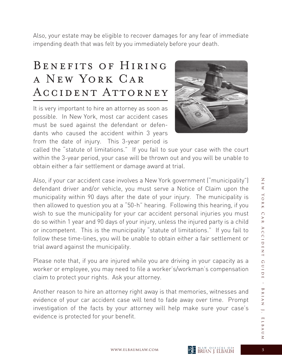Also, your estate may be eligible to recover damages for any fear of immediate impending death that was felt by you immediately before your death.

# BENEFITS OF HIRING a New York Car ACCIDENT ATTORNEY

It is very important to hire an attorney as soon as possible. In New York, most car accident cases must be sued against the defendant or defendants who caused the accident within 3 years from the date of injury. This 3-year period is



called the "statute of limitations." If you fail to sue your case with the court within the 3-year period, your case will be thrown out and you will be unable to obtain either a fair settlement or damage award at trial.

Also, if your car accident case involves a New York government ("municipality") defendant driver and/or vehicle, you must serve a Notice of Claim upon the municipality within 90 days after the date of your injury. The municipality is then allowed to question you at a "50-h" hearing. Following this hearing, if you wish to sue the municipality for your car accident personal injuries you must do so within 1 year and 90 days of your injury, unless the injured party is a child or incompetent. This is the municipality "statute of limitations." If you fail to follow these time-lines, you will be unable to obtain either a fair settlement or trial award against the municipality.

Please note that, if you are injured while you are driving in your capacity as a worker or employee, you may need to file a worker's/workman's compensation claim to protect your rights. Ask your attorney.

Another reason to hire an attorney right away is that memories, witnesses and evidence of your car accident case will tend to fade away over time. Prompt investigation of the facts by your attorney will help make sure your case's evidence is protected for your benefit.

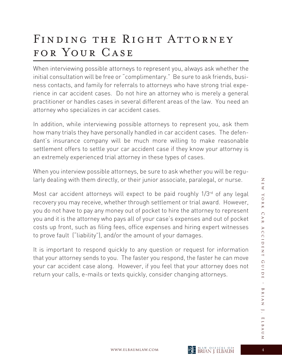# FINDING THE RIGHT ATTORNEY FOR YOUR CASE

When interviewing possible attorneys to represent you, always ask whether the initial consultation will be free or "complimentary." Be sure to ask friends, business contacts, and family for referrals to attorneys who have strong trial experience in car accident cases. Do not hire an attorney who is merely a general practitioner or handles cases in several different areas of the law. You need an attorney who specializes in car accident cases.

In addition, while interviewing possible attorneys to represent you, ask them how many trials they have personally handled in car accident cases. The defendant's insurance company will be much more willing to make reasonable settlement offers to settle your car accident case if they know your attorney is an extremely experienced trial attorney in these types of cases.

When you interview possible attorneys, be sure to ask whether you will be regularly dealing with them directly, or their junior associate, paralegal, or nurse.

Most car accident attorneys will expect to be paid roughly  $1/3^{rd}$  of any legal recovery you may receive, whether through settlement or trial award. However, you do not have to pay any money out of pocket to hire the attorney to represent you and it is the attorney who pays all of your case's expenses and out of pocket costs up front, such as filing fees, office expenses and hiring expert witnesses to prove fault ("liability"), and/or the amount of your damages.

It is important to respond quickly to any question or request for information that your attorney sends to you. The faster you respond, the faster he can move your car accident case along. However, if you feel that your attorney does not return your calls, e-mails or texts quickly, consider changing attorneys.

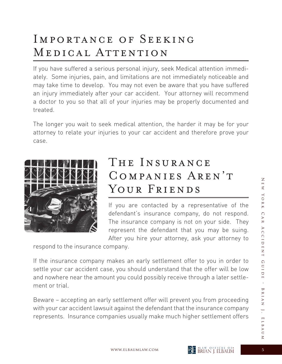# Importance of Seeking MEDICAL ATTENTION

If you have suffered a serious personal injury, seek Medical attention immediately. Some injuries, pain, and limitations are not immediately noticeable and may take time to develop. You may not even be aware that you have suffered an injury immediately after your car accident. Your attorney will recommend a doctor to you so that all of your injuries may be properly documented and treated.

The longer you wait to seek medical attention, the harder it may be for your attorney to relate your injuries to your car accident and therefore prove your case.



## THE INSURANCE Companies Aren't YOUR FRIENDS

If you are contacted by a representative of the defendant's insurance company, do not respond. The insurance company is not on your side. They represent the defendant that you may be suing. After you hire your attorney, ask your attorney to

respond to the insurance company.

If the insurance company makes an early settlement offer to you in order to settle your car accident case, you should understand that the offer will be low and nowhere near the amount you could possibly receive through a later settlement or trial.

Beware – accepting an early settlement offer will prevent you from proceeding with your car accident lawsuit against the defendant that the insurance company represents. Insurance companies usually make much higher settlement offers

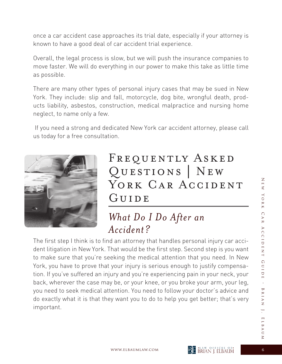once a car accident case approaches its trial date, especially if your attorney is known to have a good deal of car accident trial experience.

Overall, the legal process is slow, but we will push the insurance companies to move faster. We will do everything in our power to make this take as little time as possible.

There are many other types of personal injury cases that may be sued in New York. They include: slip and fall, motorcycle, dog bite, wrongful death, products liability, asbestos, construction, medical malpractice and nursing home neglect, to name only a few.

 If you need a strong and dedicated New York car accident attorney, please call us today for a free consultation.



# FREQUENTLY ASKED Questions | New YORK CAR ACCIDENT GUIDE

#### *What Do I Do After an Accident?*

The first step I think is to find an attorney that handles personal injury car accident litigation in New York. That would be the first step. Second step is you want to make sure that you're seeking the medical attention that you need. In New York, you have to prove that your injury is serious enough to justify compensation. If you've suffered an injury and you're experiencing pain in your neck, your back, wherever the case may be, or your knee, or you broke your arm, your leg, you need to seek medical attention. You need to follow your doctor's advice and do exactly what it is that they want you to do to help you get better; that's very important.

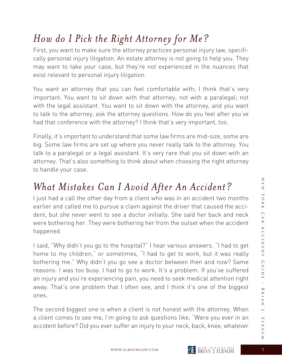# *How do I Pick the Right Attorney for Me?*

First, you want to make sure the attorney practices personal injury law, specifically personal injury litigation. An estate attorney is not going to help you. They may want to take your case, but they're not experienced in the nuances that exist relevant to personal injury litigation.

You want an attorney that you can feel comfortable with; I think that's very important. You want to sit down with that attorney; not with a paralegal; not with the legal assistant. You want to sit down with the attorney, and you want to talk to the attorney, ask the attorney questions. How do you feel after you've had that conference with the attorney? I think that's very important, too.

Finally, it's important to understand that some law firms are mid-size, some are big. Some law firms are set up where you never really talk to the attorney. You talk to a paralegal or a legal assistant. It's very rare that you sit down with an attorney. That's also something to think about when choosing the right attorney to handle your case.

## *What Mistakes Can I Avoid After An Accident?*

I just had a call the other day from a client who was in an accident two months earlier and called me to pursue a claim against the driver that caused the accident, but she never went to see a doctor initially. She said her back and neck were bothering her. They were bothering her from the outset when the accident happened.

I said, "Why didn't you go to the hospital?" I hear various answers. "I had to get home to my children," or sometimes, "I had to get to work, but it was really bothering me." Why didn't you go see a doctor between then and now? Same reasons: I was too busy. I had to go to work. It's a problem. If you've suffered an injury and you're experiencing pain, you need to seek medical attention right away. That's one problem that I often see, and I think it's one of the biggest ones.

The second biggest one is when a client is not honest with the attorney. When a client comes to see me, I'm going to ask questions like, "Were you ever in an accident before? Did you ever suffer an injury to your neck, back, knee, whatever



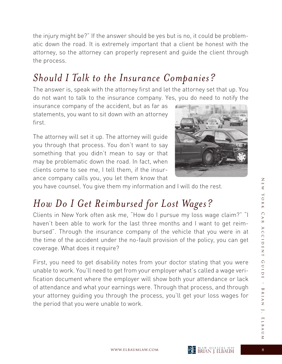the injury might be?" If the answer should be yes but is no, it could be problematic down the road. It is extremely important that a client be honest with the attorney, so the attorney can properly represent and guide the client through the process.

### *Should I Talk to the Insurance Companies?*

The answer is, speak with the attorney first and let the attorney set that up. You do not want to talk to the insurance company. Yes, you do need to notify the

insurance company of the accident, but as far as statements, you want to sit down with an attorney first.

The attorney will set it up. The attorney will guide you through that process. You don't want to say something that you didn't mean to say or that may be problematic down the road. In fact, when clients come to see me, I tell them, if the insurance company calls you, you let them know that



you have counsel. You give them my information and I will do the rest.

#### *How Do I Get Reimbursed for Lost Wages?*

Clients in New York often ask me, "How do I pursue my loss wage claim?" "I haven't been able to work for the last three months and I want to get reimbursed". Through the insurance company of the vehicle that you were in at the time of the accident under the no-fault provision of the policy, you can get coverage. What does it require?

First, you need to get disability notes from your doctor stating that you were unable to work. You'll need to get from your employer what's called a wage verification document where the employer will show both your attendance or lack of attendance and what your earnings were. Through that process, and through your attorney guiding you through the process, you'll get your loss wages for the period that you were unable to work.

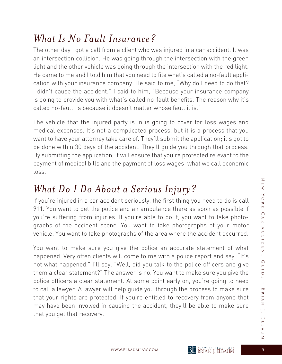#### *What Is No Fault Insurance?*

The other day I got a call from a client who was injured in a car accident. It was an intersection collision. He was going through the intersection with the green light and the other vehicle was going through the intersection with the red light. He came to me and I told him that you need to file what's called a no-fault application with your insurance company. He said to me, "Why do I need to do that? I didn't cause the accident." I said to him, "Because your insurance company is going to provide you with what's called no-fault benefits. The reason why it's called no-fault, is because it doesn't matter whose fault it is."

The vehicle that the injured party is in is going to cover for loss wages and medical expenses. It's not a complicated process, but it is a process that you want to have your attorney take care of. They'll submit the application; it's got to be done within 30 days of the accident. They'll guide you through that process. By submitting the application, it will ensure that you're protected relevant to the payment of medical bills and the payment of loss wages; what we call economic loss.

### *What Do I Do About a Serious Injury?*

If you're injured in a car accident seriously, the first thing you need to do is call 911. You want to get the police and an ambulance there as soon as possible if you're suffering from injuries. If you're able to do it, you want to take photographs of the accident scene. You want to take photographs of your motor vehicle. You want to take photographs of the area where the accident occurred.

You want to make sure you give the police an accurate statement of what happened. Very often clients will come to me with a police report and say, "It's not what happened." I'll say, "Well, did you talk to the police officers and give them a clear statement?" The answer is no. You want to make sure you give the police officers a clear statement. At some point early on, you're going to need to call a lawyer. A lawyer will help guide you through the process to make sure that your rights are protected. If you're entitled to recovery from anyone that may have been involved in causing the accident, they'll be able to make sure that you get that recovery.

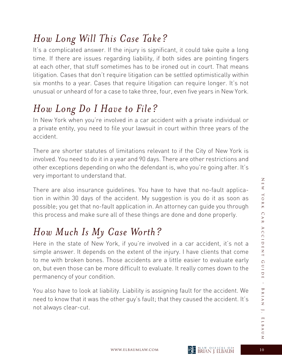#### *How Long Will This Case Take?*

It's a complicated answer. If the injury is significant, it could take quite a long time. If there are issues regarding liability, if both sides are pointing fingers at each other, that stuff sometimes has to be ironed out in court. That means litigation. Cases that don't require litigation can be settled optimistically within six months to a year. Cases that require litigation can require longer. It's not unusual or unheard of for a case to take three, four, even five years in New York.

# *How Long Do I Have to File?*

In New York when you're involved in a car accident with a private individual or a private entity, you need to file your lawsuit in court within three years of the accident.

There are shorter statutes of limitations relevant to if the City of New York is involved. You need to do it in a year and 90 days. There are other restrictions and other exceptions depending on who the defendant is, who you're going after. It's very important to understand that.

There are also insurance guidelines. You have to have that no-fault application in within 30 days of the accident. My suggestion is you do it as soon as possible; you get that no-fault application in. An attorney can guide you through this process and make sure all of these things are done and done properly.

# *How Much Is My Case Worth?*

Here in the state of New York, if you're involved in a car accident, it's not a simple answer. It depends on the extent of the injury. I have clients that come to me with broken bones. Those accidents are a little easier to evaluate early on, but even those can be more difficult to evaluate. It really comes down to the permanency of your condition.

You also have to look at liability. Liability is assigning fault for the accident. We need to know that it was the other guy's fault; that they caused the accident. It's not always clear-cut.

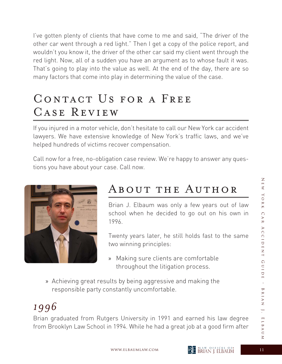I've gotten plenty of clients that have come to me and said, "The driver of the other car went through a red light." Then I get a copy of the police report, and wouldn't you know it, the driver of the other car said my client went through the red light. Now, all of a sudden you have an argument as to whose fault it was. That's going to play into the value as well. At the end of the day, there are so many factors that come into play in determining the value of the case.

# CONTACT US FOR A FREE Case Review

If you injured in a motor vehicle, don't hesitate to call our New York car accident lawyers. We have extensive knowledge of New York's traffic laws, and we've helped hundreds of victims recover compensation.

Call now for a free, no-obligation case review. We're happy to answer any questions you have about your case. Call now.



# About the Author

Brian J. Elbaum was only a few years out of law school when he decided to go out on his own in 1996.

 Twenty years later, he still holds fast to the same two winning principles:

- » Making sure clients are comfortable throughout the litigation process.
- » Achieving great results by being aggressive and making the responsible party constantly uncomfortable.

## *1996*

Brian graduated from Rutgers University in 1991 and earned his law degree from Brooklyn Law School in 1994. While he had a great job at a good firm after



 $\overline{\le}$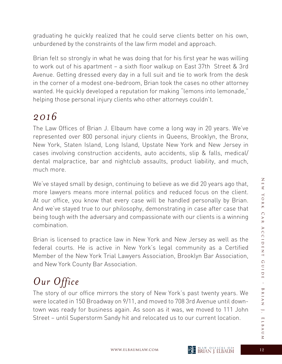graduating he quickly realized that he could serve clients better on his own, unburdened by the constraints of the law firm model and approach.

Brian felt so strongly in what he was doing that for his first year he was willing to work out of his apartment – a sixth floor walkup on East 37th Street & 3rd Avenue. Getting dressed every day in a full suit and tie to work from the desk in the corner of a modest one-bedroom, Brian took the cases no other attorney wanted. He quickly developed a reputation for making "lemons into lemonade," helping those personal injury clients who other attorneys couldn't.

#### *2016*

The Law Offices of Brian J. Elbaum have come a long way in 20 years. We've represented over 800 personal injury clients in Queens, Brooklyn, the Bronx, New York, Staten Island, Long Island, Upstate New York and New Jersey in cases involving construction accidents, auto accidents, slip & falls, medical/ dental malpractice, bar and nightclub assaults, product liability, and much, much more.

We've stayed small by design, continuing to believe as we did 20 years ago that, more lawyers means more internal politics and reduced focus on the client. At our office, you know that every case will be handled personally by Brian. And we've stayed true to our philosophy, demonstrating in case after case that being tough with the adversary and compassionate with our clients is a winning combination.

Brian is licensed to practice law in New York and New Jersey as well as the federal courts. He is active in New York's legal community as a Certified Member of the New York Trial Lawyers Association, Brooklyn Bar Association, and New York County Bar Association.

# *Our Office*

The story of our office mirrors the story of New York's past twenty years. We were located in 150 Broadway on 9/11, and moved to 708 3rd Avenue until downtown was ready for business again. As soon as it was, we moved to 111 John Street – until Superstorm Sandy hit and relocated us to our current location.

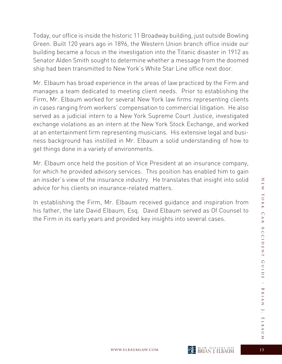Today, our office is inside the historic 11 Broadway building, just outside Bowling Green. Built 120 years ago in 1896, the Western Union branch office inside our building became a focus in the investigation into the Titanic disaster in 1912 as Senator Alden Smith sought to determine whether a message from the doomed ship had been transmitted to New York's White Star Line office next door.

Mr. Elbaum has broad experience in the areas of law practiced by the Firm and manages a team dedicated to meeting client needs. Prior to establishing the Firm, Mr. Elbaum worked for several New York law firms representing clients in cases ranging from workers' compensation to commercial litigation. He also served as a judicial intern to a New York Supreme Court Justice, investigated exchange violations as an intern at the New York Stock Exchange, and worked at an entertainment firm representing musicians. His extensive legal and business background has instilled in Mr. Elbaum a solid understanding of how to get things done in a variety of environments.

Mr. Elbaum once held the position of Vice President at an insurance company, for which he provided advisory services. This position has enabled him to gain an insider's view of the insurance industry. He translates that insight into solid advice for his clients on insurance-related matters.

In establishing the Firm, Mr. Elbaum received guidance and inspiration from his father, the late David Elbaum, Esq. David Elbaum served as Of Counsel to the Firm in its early years and provided key insights into several cases.